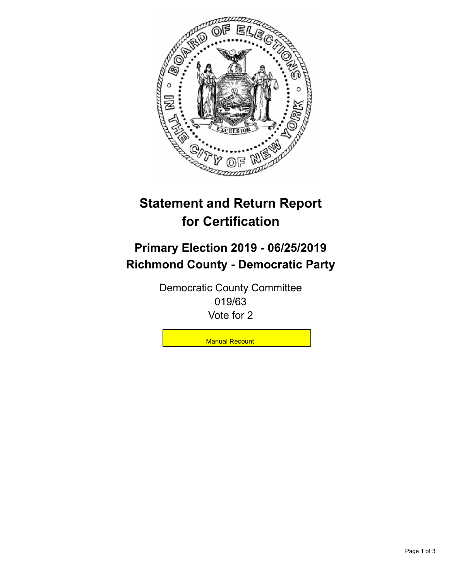

## **Statement and Return Report for Certification**

## **Primary Election 2019 - 06/25/2019 Richmond County - Democratic Party**

Democratic County Committee 019/63 Vote for 2

**Manual Recount**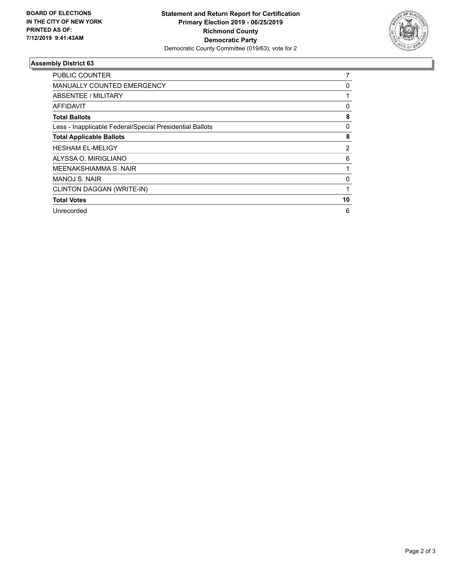

## **Assembly District 63**

| PUBLIC COUNTER                                           | 7        |
|----------------------------------------------------------|----------|
| MANUALLY COUNTED EMERGENCY                               | 0        |
| ABSENTEE / MILITARY                                      |          |
| AFFIDAVIT                                                | 0        |
| <b>Total Ballots</b>                                     | 8        |
| Less - Inapplicable Federal/Special Presidential Ballots | 0        |
| <b>Total Applicable Ballots</b>                          | 8        |
| <b>HESHAM EL-MELIGY</b>                                  | 2        |
| ALYSSA O. MIRIGLIANO                                     | 6        |
| MEENAKSHIAMMA S. NAIR                                    |          |
| MANOJ S. NAIR                                            | $\Omega$ |
| CLINTON DAGGAN (WRITE-IN)                                |          |
| <b>Total Votes</b>                                       | 10       |
| Unrecorded                                               | 6        |